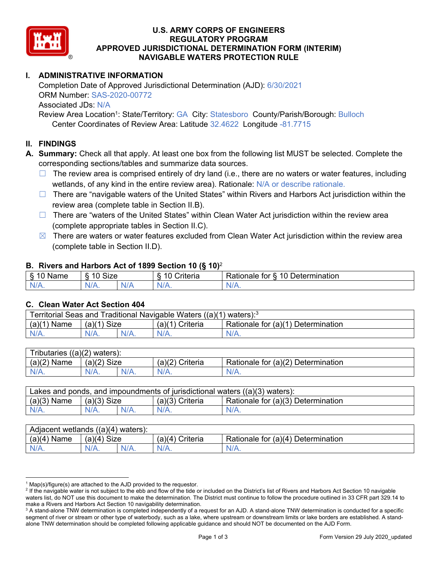

# U.S. ARMY CORPS OF ENGINEERS<br>REGULATORY PROGRAM<br>APPROVED JURISDICTIONAL DETERMINATION FOR MAVIGABLE WATERS PROTECTION RU **REGULATORY PROGRAM APPROVED JURISDICTIONAL DETERMINATION FORM (INTERIM) NAVIGABLE WATERS PROTECTION RULE**

### **I. ADMINISTRATIVE INFORMATION**

Completion Date of Approved Jurisdictional Determination (AJD): 6/30/2021 ORM Number: SAS-2020-00772 Associated JDs: N/A

Review Area Location<sup>1</sup>: State/Territory: GA City: Statesboro County/Parish/Borough: Bulloch Center Coordinates of Review Area: Latitude 32.4622 Longitude -81.7715

#### **II. FINDINGS**

**A. Summary:** Check all that apply. At least one box from the following list MUST be selected. Complete the corresponding sections/tables and summarize data sources.

- $\Box$  The review area is comprised entirely of dry land (i.e., there are no waters or water features, including wetlands, of any kind in the entire review area). Rationale: N/A or describe rationale.
- $\Box$  There are "navigable waters of the United States" within Rivers and Harbors Act jurisdiction within the review area (complete table in Section II.B).
- $\Box$  There are "waters of the United States" within Clean Water Act jurisdiction within the review area (complete appropriate tables in Section II.C).
- $\boxtimes$  There are waters or water features excluded from Clean Water Act jurisdiction within the review area (complete table in Section II.D).

#### **B. Rivers and Harbors Act of 1899 Section 10 (§ 10)**<sup>2</sup>

|                                              |                             |     | $\cdot$                |                                                                                             |
|----------------------------------------------|-----------------------------|-----|------------------------|---------------------------------------------------------------------------------------------|
| $\delta$<br>∽<br>.<br>'vame<br>.,<br>٠J<br>- | Size<br>$\overline{A}$<br>c |     | 1 C<br>$     -$<br>ΙА. | $\overline{\phantom{a}}$<br>1 Q<br>⊃etermınatıon<br>$-1 - 1 - 1$<br>tor<br>kationale i<br>. |
| N/A.                                         | 97 A .                      | NIA | N//<br>17.             | $\mathbf{v}$                                                                                |

#### **C. Clean Water Act Section 404**

| Territorial Seas and Traditional Navigable Waters ((a)(1) waters): $3$ |               |  |                                              |                                    |  |  |
|------------------------------------------------------------------------|---------------|--|----------------------------------------------|------------------------------------|--|--|
| (a)(1)<br>Name                                                         | $(a)(1)$ Size |  | <sup>''</sup> Criteria<br>(a)( <sup>1`</sup> | Rationale for (a)(1) Determination |  |  |
|                                                                        | $N/A$ .       |  | N/A.                                         | $N/A$ .                            |  |  |

| Tributaries,<br>$((a)(2)$ waters): |                |         |                    |                                    |  |  |
|------------------------------------|----------------|---------|--------------------|------------------------------------|--|--|
| (a)(2)<br>Name                     | (a)(2)<br>Size |         | Criteria<br>(a)(2) | Rationale for (a)(2) Determination |  |  |
| $N/A$ .                            | $N/A$ .        | $N/A$ . | $N/A$ .            | N/A.                               |  |  |

| Lakes and ponds, and impoundments of jurisdictional waters $((a)(3)$ waters): |               |  |                   |                                    |  |  |
|-------------------------------------------------------------------------------|---------------|--|-------------------|------------------------------------|--|--|
| $(a)(3)$ Name                                                                 | $(a)(3)$ Size |  | $(a)(3)$ Criteria | Rationale for (a)(3) Determination |  |  |
| $N/A$ .                                                                       | $N/A$ .       |  | N/A.              | $N/A$ .                            |  |  |

| Adjacent wetlands<br>$((a)(4)$ waters): |                       |         |                   |                                    |  |  |
|-----------------------------------------|-----------------------|---------|-------------------|------------------------------------|--|--|
| (a)(4)<br>Name                          | <b>Size</b><br>(a)(4) |         | (a)(4<br>Criteria | Rationale for (a)(4) Determination |  |  |
| N/A.                                    | $N/A$ .               | $N/A$ . | $N/A$ .           | $N/A$ .                            |  |  |

 $1$  Map(s)/figure(s) are attached to the AJD provided to the requestor.

<sup>&</sup>lt;sup>2</sup> If the navigable water is not subject to the ebb and flow of the tide or included on the District's list of Rivers and Harbors Act Section 10 navigable waters list, do NOT use this document to make the determination. The District must continue to follow the procedure outlined in 33 CFR part 329.14 to make a Rivers and Harbors Act Section 10 navigability determination.

 $^3$  A stand-alone TNW determination is completed independently of a request for an AJD. A stand-alone TNW determination is conducted for a specific segment of river or stream or other type of waterbody, such as a lake, where upstream or downstream limits or lake borders are established. A standalone TNW determination should be completed following applicable guidance and should NOT be documented on the AJD Form.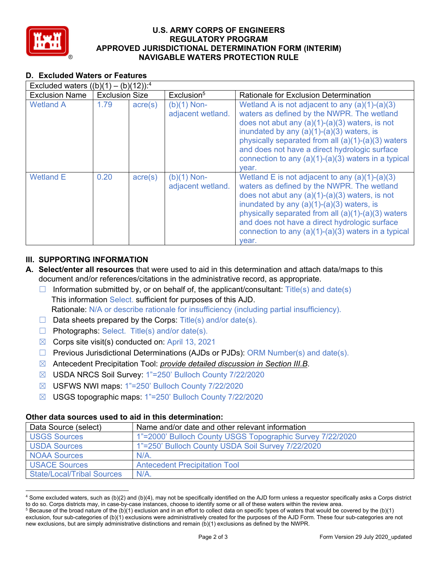

# U.S. ARMY CORPS OF ENGINEERS<br>REGULATORY PROGRAM<br>APPROVED JURISDICTIONAL DETERMINATION FOR MAVIGABLE WATERS PROTECTION RU **REGULATORY PROGRAM APPROVED JURISDICTIONAL DETERMINATION FORM (INTERIM) NAVIGABLE WATERS PROTECTION RULE**

### **D. Excluded Waters or Features**

| Excluded waters $((b)(1) - (b)(12))$ : <sup>4</sup> |                       |                  |                                    |                                                                                                                                                                                                                                                                                                                                                                            |
|-----------------------------------------------------|-----------------------|------------------|------------------------------------|----------------------------------------------------------------------------------------------------------------------------------------------------------------------------------------------------------------------------------------------------------------------------------------------------------------------------------------------------------------------------|
| <b>Exclusion Name</b>                               | <b>Exclusion Size</b> |                  | Exclusion <sup>5</sup>             | Rationale for Exclusion Determination                                                                                                                                                                                                                                                                                                                                      |
| <b>Wetland A</b>                                    | 1.79                  | $\text{acre}(s)$ | $(b)(1)$ Non-<br>adjacent wetland. | Wetland A is not adjacent to any $(a)(1)-(a)(3)$<br>waters as defined by the NWPR. The wetland<br>does not abut any $(a)(1)-(a)(3)$ waters, is not<br>inundated by any $(a)(1)-(a)(3)$ waters, is<br>physically separated from all (a)(1)-(a)(3) waters<br>and does not have a direct hydrologic surface<br>connection to any $(a)(1)-(a)(3)$ waters in a typical<br>vear. |
| <b>Wetland E</b>                                    | 0.20                  | $\text{acre}(s)$ | $(b)(1)$ Non-<br>adjacent wetland. | Wetland E is not adjacent to any $(a)(1)-(a)(3)$<br>waters as defined by the NWPR. The wetland<br>does not abut any $(a)(1)-(a)(3)$ waters, is not<br>inundated by any $(a)(1)-(a)(3)$ waters, is<br>physically separated from all (a)(1)-(a)(3) waters<br>and does not have a direct hydrologic surface<br>connection to any $(a)(1)-(a)(3)$ waters in a typical<br>vear. |

## **III. SUPPORTING INFORMATION**

- **A. Select/enter all resources** that were used to aid in this determination and attach data/maps to this document and/or references/citations in the administrative record, as appropriate.
	- $\Box$  Information submitted by, or on behalf of, the applicant/consultant: Title(s) and date(s) This information Select. sufficient for purposes of this AJD. Rationale: N/A or describe rationale for insufficiency (including partial insufficiency).
	- $\Box$  Data sheets prepared by the Corps: Title(s) and/or date(s).
	- $\Box$  Photographs: Select. Title(s) and/or date(s).
	- $\boxtimes$  Corps site visit(s) conducted on: April 13, 2021
	- $\Box$  Previous Jurisdictional Determinations (AJDs or PJDs): ORM Number(s) and date(s).
	- ☒ Antecedent Precipitation Tool: *provide detailed discussion in Section III.B*.
	- ☒ USDA NRCS Soil Survey: 1"=250' Bulloch County 7/22/2020
	- ☒ USFWS NWI maps: 1"=250' Bulloch County 7/22/2020
	- ☒ USGS topographic maps: 1"=250' Bulloch County 7/22/2020

### **Other data sources used to aid in this determination:**

| Data Source (select)              | Name and/or date and other relevant information           |
|-----------------------------------|-----------------------------------------------------------|
| <b>USGS Sources</b>               | 1"=2000' Bulloch County USGS Topographic Survey 7/22/2020 |
| <b>USDA Sources</b>               | 1"=250' Bulloch County USDA Soil Survey 7/22/2020         |
| <b>NOAA Sources</b>               | N/A                                                       |
| <b>USACE Sources</b>              | <b>Antecedent Precipitation Tool</b>                      |
| <b>State/Local/Tribal Sources</b> | $N/A$ .                                                   |

 $^4$  Some excluded waters, such as (b)(2) and (b)(4), may not be specifically identified on the AJD form unless a requestor specifically asks a Corps district to do so. Corps districts may, in case-by-case instances, choose to identify some or all of these waters within the review area.

 $^5$  Because of the broad nature of the (b)(1) exclusion and in an effort to collect data on specific types of waters that would be covered by the (b)(1) exclusion, four sub-categories of (b)(1) exclusions were administratively created for the purposes of the AJD Form. These four sub-categories are not new exclusions, but are simply administrative distinctions and remain (b)(1) exclusions as defined by the NWPR.